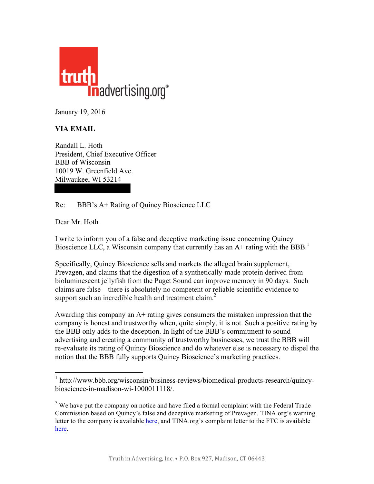

January 19, 2016

## **VIA EMAIL**

Randall L. Hoth President, Chief Executive Officer BBB of Wisconsin 10019 W. Greenfield Ave. Milwaukee, WI 53214

## Re: BBB's A+ Rating of Quincy Bioscience LLC

Dear Mr. Hoth

I write to inform you of a false and deceptive marketing issue concerning Quincy Bioscience LLC, a Wisconsin company that currently has an  $A+$  rating with the BBB.<sup>1</sup>

Specifically, Quincy Bioscience sells and markets the alleged brain supplement, Prevagen, and claims that the digestion of a synthetically-made protein derived from bioluminescent jellyfish from the Puget Sound can improve memory in 90 days. Such claims are false – there is absolutely no competent or reliable scientific evidence to support such an incredible health and treatment claim.<sup>2</sup>

Awarding this company an A+ rating gives consumers the mistaken impression that the company is honest and trustworthy when, quite simply, it is not. Such a positive rating by the BBB only adds to the deception. In light of the BBB's commitment to sound advertising and creating a community of trustworthy businesses, we trust the BBB will re-evaluate its rating of Quincy Bioscience and do whatever else is necessary to dispel the notion that the BBB fully supports Quincy Bioscience's marketing practices.

 <sup>1</sup> [http://www.bbb.org/wisconsin/business-reviews/biomedical-products-research/quincy](http://www.bbb.org/wisconsin/business-reviews/biomedical-products-research/quincy-bioscience-in-madison-wi-1000011118/)[bioscience-in-madison-wi-1000011118/.](http://www.bbb.org/wisconsin/business-reviews/biomedical-products-research/quincy-bioscience-in-madison-wi-1000011118/) 

<sup>&</sup>lt;sup>2</sup> We have put the company on notice and have filed a formal complaint with the Federal Trade Commission based on Quincy's false and deceptive marketing of Prevagen. TINA.org's warning letter to the company is available [here,](https://www.truthinadvertising.org/wp-content/uploads/2015/09/Ltr-from-TINA-to-Quincy-Bioscience-re-Prevagen_Redacted.pdf) and TINA.org's complaint letter to the FTC is available [here.](https://www.truthinadvertising.org/wp-content/uploads/2015/09/Complaint-ltr-from-TINA-to-FTC-re-Prevagen.pdf)